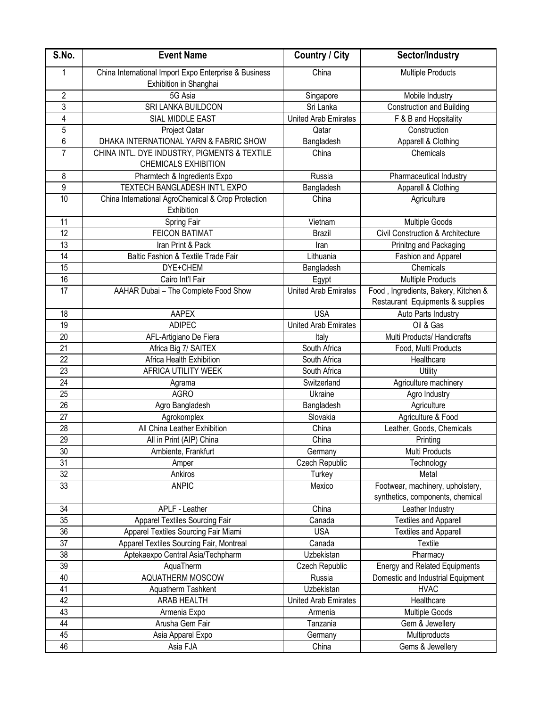| S.No.                   | <b>Event Name</b>                                                               | <b>Country / City</b>       | Sector/Industry                                                          |
|-------------------------|---------------------------------------------------------------------------------|-----------------------------|--------------------------------------------------------------------------|
| 1                       | China International Import Expo Enterprise & Business<br>Exhibition in Shanghai | China                       | <b>Multiple Products</b>                                                 |
| $\overline{2}$          | 5G Asia                                                                         | Singapore                   | Mobile Industry                                                          |
| $\overline{3}$          | SRI LANKA BUILDCON                                                              | Sri Lanka                   | <b>Construction and Building</b>                                         |
| $\overline{\mathbf{4}}$ | SIAL MIDDLE EAST                                                                | <b>United Arab Emirates</b> | F & B and Hopsitality                                                    |
| 5                       | Project Qatar                                                                   | Qatar                       | Construction                                                             |
| 6                       | DHAKA INTERNATIONAL YARN & FABRIC SHOW                                          | Bangladesh                  | Apparell & Clothing                                                      |
| $\overline{7}$          | CHINA INTL. DYE INDUSTRY, PIGMENTS & TEXTILE<br><b>CHEMICALS EXHIBITION</b>     | China                       | Chemicals                                                                |
| 8                       | Pharmtech & Ingredients Expo                                                    | Russia                      | Pharmaceutical Industry                                                  |
| 9                       | TEXTECH BANGLADESH INT'L EXPO                                                   | Bangladesh                  | Apparell & Clothing                                                      |
| 10                      | China International AgroChemical & Crop Protection<br>Exhibition                | China                       | Agriculture                                                              |
| 11                      | Spring Fair                                                                     | Vietnam                     | Multiple Goods                                                           |
| 12                      | <b>FEICON BATIMAT</b>                                                           | <b>Brazil</b>               | <b>Civil Construction &amp; Architecture</b>                             |
| 13                      | Iran Print & Pack                                                               | Iran                        | Prinitng and Packaging                                                   |
| $\overline{14}$         | Baltic Fashion & Textile Trade Fair                                             | Lithuania                   | Fashion and Apparel                                                      |
| $\overline{15}$         | DYE+CHEM                                                                        | Bangladesh                  | Chemicals                                                                |
| 16                      | Cairo Int'l Fair                                                                | Egypt                       | <b>Multiple Products</b>                                                 |
| 17                      | AAHAR Dubai - The Complete Food Show                                            | <b>United Arab Emirates</b> | Food, Ingredients, Bakery, Kitchen &<br>Restaurant Equipments & supplies |
| 18                      | AAPEX                                                                           | <b>USA</b>                  | Auto Parts Industry                                                      |
| 19                      | <b>ADIPEC</b>                                                                   | United Arab Emirates        | Oil & Gas                                                                |
| 20                      | AFL-Artigiano De Fiera                                                          | Italy                       | Multi Products/ Handicrafts                                              |
| $\overline{21}$         | Africa Big 7/ SAITEX                                                            | South Africa                | Food, Multi Products                                                     |
| 22                      | Africa Health Exhibition                                                        | South Africa                | Healthcare                                                               |
| 23                      | AFRICA UTILITY WEEK                                                             | South Africa                | Utility                                                                  |
| $\overline{24}$         | Agrama                                                                          | Switzerland                 | Agriculture machinery                                                    |
| 25                      | <b>AGRO</b>                                                                     | Ukraine                     | Agro Industry                                                            |
| 26                      | Agro Bangladesh                                                                 | Bangladesh                  | Agriculture                                                              |
| 27                      | Agrokomplex                                                                     | Slovakia                    | Agriculture & Food                                                       |
| $\overline{28}$         | All China Leather Exhibition                                                    | China                       | Leather, Goods, Chemicals                                                |
| $\overline{29}$         | All in Print (AIP) China                                                        | China                       | Printing                                                                 |
| 30                      | Ambiente, Frankfurt                                                             | Germany                     | Multi Products                                                           |
| 31                      | Amper                                                                           | Czech Republic              | Technology                                                               |
| 32                      | Ankiros                                                                         | Turkey                      | Metal                                                                    |
| 33                      | <b>ANPIC</b>                                                                    | Mexico                      | Footwear, machinery, upholstery,<br>synthetics, components, chemical     |
| $\overline{34}$         | APLF - Leather                                                                  | China                       | Leather Industry                                                         |
| $\overline{35}$         | Apparel Textiles Sourcing Fair                                                  | Canada                      | <b>Textiles and Apparell</b>                                             |
| 36                      | Apparel Textiles Sourcing Fair Miami                                            | <b>USA</b>                  | <b>Textiles and Apparell</b>                                             |
| 37                      | Apparel Textiles Sourcing Fair, Montreal                                        | Canada                      | Textile                                                                  |
| 38                      | Aptekaexpo Central Asia/Techpharm                                               | Uzbekistan                  | Pharmacy                                                                 |
| $\overline{39}$         | AquaTherm                                                                       | Czech Republic              | <b>Energy and Related Equipments</b>                                     |
| 40                      | AQUATHERM MOSCOW                                                                | Russia                      | Domestic and Industrial Equipment                                        |
| 41                      | Aquatherm Tashkent                                                              | Uzbekistan                  | <b>HVAC</b>                                                              |
| 42                      | <b>ARAB HEALTH</b>                                                              | <b>United Arab Emirates</b> | Healthcare                                                               |
| 43                      | Armenia Expo                                                                    | Armenia                     | <b>Multiple Goods</b>                                                    |
| 44                      | Arusha Gem Fair                                                                 | Tanzania                    | Gem & Jewellery                                                          |
| 45                      | Asia Apparel Expo                                                               | Germany                     | Multiproducts                                                            |
| 46                      | Asia FJA                                                                        | China                       | Gems & Jewellery                                                         |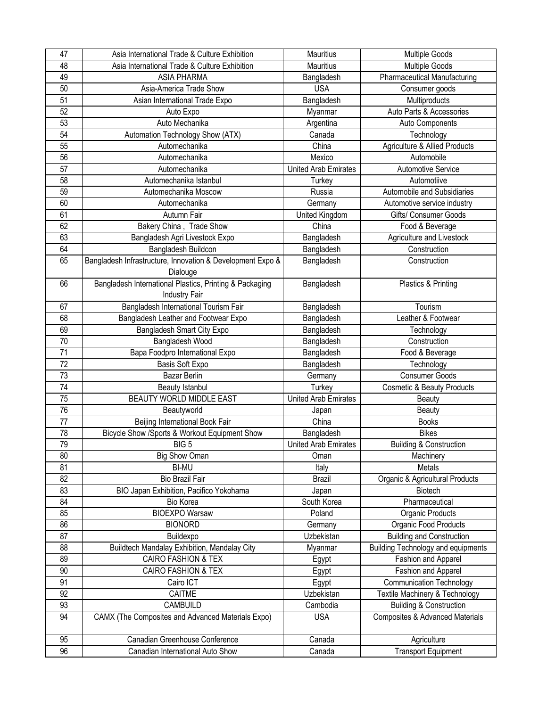| 47              | Asia International Trade & Culture Exhibition              | Mauritius                   | <b>Multiple Goods</b>                      |
|-----------------|------------------------------------------------------------|-----------------------------|--------------------------------------------|
| 48              | Asia International Trade & Culture Exhibition              | Mauritius                   | <b>Multiple Goods</b>                      |
| 49              | <b>ASIA PHARMA</b>                                         | Bangladesh                  | <b>Pharmaceutical Manufacturing</b>        |
| 50              | Asia-America Trade Show                                    | <b>USA</b>                  | Consumer goods                             |
| 51              | Asian International Trade Expo                             | Bangladesh                  | Multiproducts                              |
| 52              | Auto Expo                                                  | Myanmar                     | Auto Parts & Accessories                   |
| 53              | Auto Mechanika                                             | Argentina                   | Auto Components                            |
| 54              | Automation Technology Show (ATX)                           | Canada                      | Technology                                 |
| 55              | Automechanika                                              | China                       | Agriculture & Allied Products              |
| 56              | Automechanika                                              | Mexico                      | Automobile                                 |
| 57              | Automechanika                                              | <b>United Arab Emirates</b> | Automotive Service                         |
| 58              | Automechanika Istanbul                                     | Turkey                      | Automotiive                                |
| 59              | Automechanika Moscow                                       | Russia                      | Automobile and Subsidiaries                |
| 60              | Automechanika                                              | Germany                     | Automotive service industry                |
| 61              | Autumn Fair                                                | United Kingdom              | Gifts/ Consumer Goods                      |
| 62              | Bakery China, Trade Show                                   | China                       | Food & Beverage                            |
| 63              | Bangladesh Agri Livestock Expo                             | Bangladesh                  | Agriculture and Livestock                  |
| 64              | Bangladesh Buildcon                                        | Bangladesh                  | Construction                               |
| 65              | Bangladesh Infrastructure, Innovation & Development Expo & | Bangladesh                  | Construction                               |
|                 | Dialouge                                                   |                             |                                            |
| 66              | Bangladesh International Plastics, Printing & Packaging    | Bangladesh                  | Plastics & Printing                        |
|                 | Industry Fair                                              |                             |                                            |
| 67              | Bangladesh International Tourism Fair                      | Bangladesh                  | Tourism                                    |
| 68              | Bangladesh Leather and Footwear Expo                       | Bangladesh                  | Leather & Footwear                         |
| 69              | Bangladesh Smart City Expo                                 | Bangladesh                  | Technology                                 |
| 70              | Bangladesh Wood                                            | Bangladesh                  | Construction                               |
| 71              | Bapa Foodpro International Expo                            | Bangladesh                  | Food & Beverage                            |
| $\overline{72}$ | Basis Soft Expo                                            | Bangladesh                  | Technology                                 |
| 73              | <b>Bazar Berlin</b>                                        | Germany                     | <b>Consumer Goods</b>                      |
| 74              | <b>Beauty Istanbul</b>                                     | Turkey                      | <b>Cosmetic &amp; Beauty Products</b>      |
| 75              | BEAUTY WORLD MIDDLE EAST                                   | <b>United Arab Emirates</b> | Beauty                                     |
| 76              | Beautyworld                                                | Japan                       | Beauty                                     |
| 77              | Beijing International Book Fair                            | China                       | <b>Books</b>                               |
| 78              | Bicycle Show /Sports & Workout Equipment Show              | Bangladesh                  | <b>Bikes</b>                               |
| 79              | BIG <sub>5</sub>                                           | United Arab Emirates        | Building & Construction                    |
| 80              | <b>Big Show Oman</b>                                       | Oman                        | Machinery                                  |
| 81              | <b>BI-MU</b>                                               | Italy                       | Metals                                     |
| 82              | <b>Bio Brazil Fair</b>                                     | <b>Brazil</b>               | Organic & Agricultural Products            |
| 83              | BIO Japan Exhibition, Pacifico Yokohama                    | Japan                       | Biotech                                    |
| 84              | Bio Korea                                                  | South Korea                 | Pharmaceutical                             |
| 85              | <b>BIOEXPO Warsaw</b>                                      | Poland                      | Organic Products                           |
| 86              | <b>BIONORD</b>                                             | Germany                     | Organic Food Products                      |
| 87              | Buildexpo                                                  | Uzbekistan                  | <b>Building and Construction</b>           |
| 88              | Buildtech Mandalay Exhibition, Mandalay City               | Myanmar                     | <b>Building Technology and equipments</b>  |
| 89              | <b>CAIRO FASHION &amp; TEX</b>                             | Egypt                       | Fashion and Apparel                        |
| 90              | CAIRO FASHION & TEX                                        | Egypt                       | Fashion and Apparel                        |
| 91              | Cairo ICT                                                  | Egypt                       | <b>Communication Technology</b>            |
| 92              | CAITME                                                     | Uzbekistan                  | Textile Machinery & Technology             |
| 93              | CAMBUILD                                                   | Cambodia                    | <b>Building &amp; Construction</b>         |
| 94              | CAMX (The Composites and Advanced Materials Expo)          | <b>USA</b>                  | <b>Composites &amp; Advanced Materials</b> |
|                 |                                                            |                             |                                            |
| 95              | Canadian Greenhouse Conference                             | Canada                      | Agriculture                                |
| 96              | Canadian International Auto Show                           | Canada                      | <b>Transport Equipment</b>                 |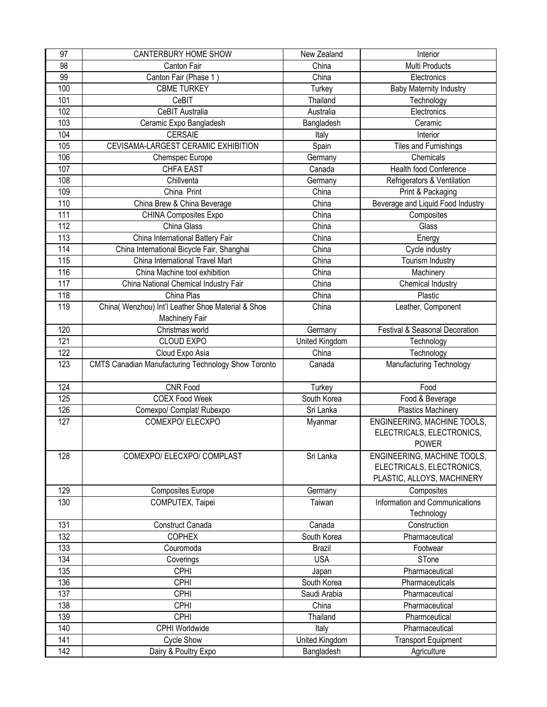| 97  | CANTERBURY HOME SHOW                                       | New Zealand    | Interior                          |
|-----|------------------------------------------------------------|----------------|-----------------------------------|
| 98  | Canton Fair                                                | China          | Multi Products                    |
| 99  | Canton Fair (Phase 1)                                      | China          | Electronics                       |
| 100 | <b>CBME TURKEY</b>                                         | Turkey         | <b>Baby Maternity Industry</b>    |
| 101 | CeBIT                                                      | Thailand       | Technology                        |
| 102 | CeBIT Australia                                            | Australia      | Electronics                       |
| 103 | Ceramic Expo Bangladesh                                    | Bangladesh     | Ceramic                           |
| 104 | <b>CERSAIE</b>                                             | Italy          | Interior                          |
| 105 | CEVISAMA-LARGEST CERAMIC EXHIBITION                        | Spain          | Tiles and Furnishings             |
| 106 | Chemspec Europe                                            | Germany        | Chemicals                         |
| 107 | <b>CHFA EAST</b>                                           | Canada         | <b>Health food Conference</b>     |
| 108 | Chillventa                                                 | Germany        | Refrigerators & Ventilation       |
| 109 | China Print                                                | China          | Print & Packaging                 |
| 110 | China Brew & China Beverage                                | China          | Beverage and Liquid Food Industry |
| 111 | <b>CHINA Composites Expo</b>                               | China          | Composites                        |
| 112 | China Glass                                                | China          | Glass                             |
| 113 | China International Battery Fair                           | China          | Energy                            |
| 114 | China International Bicycle Fair, Shanghai                 | China          | Cycle industry                    |
| 115 | China International Travel Mart                            | China          | Tourism Industry                  |
| 116 | China Machine tool exhibition                              | China          | Machinery                         |
| 117 | China National Chemical Industry Fair                      | China          | Chemical Industry                 |
| 118 | China Plas                                                 | China          | Plastic                           |
| 119 | China( Wenzhou) Int'l Leather Shoe Material & Shoe         | China          | Leather, Component                |
|     | Machinery Fair                                             |                |                                   |
| 120 | Christmas world                                            | Germany        | Festival & Seasonal Decoration    |
| 121 | <b>CLOUD EXPO</b>                                          | United Kingdom | Technology                        |
| 122 | Cloud Expo Asia                                            | China          | Technology                        |
| 123 | <b>CMTS Canadian Manufacturing Technology Show Toronto</b> | Canada         | Manufacturing Technology          |
|     |                                                            |                |                                   |
| 124 | <b>CNR Food</b>                                            | Turkey         | Food                              |
| 125 | <b>COEX Food Week</b>                                      | South Korea    | Food & Beverage                   |
| 126 | Comexpo/ Complat/ Rubexpo                                  | Sri Lanka      | <b>Plastics Machinery</b>         |
| 127 | COMEXPO/ELECXPO                                            | Myanmar        | ENGINEERING, MACHINE TOOLS,       |
|     |                                                            |                | ELECTRICALS, ELECTRONICS,         |
|     |                                                            |                | <b>POWER</b>                      |
| 128 | COMEXPO/ ELECXPO/ COMPLAST                                 | Sri Lanka      | ENGINEERING, MACHINE TOOLS,       |
|     |                                                            |                | ELECTRICALS, ELECTRONICS,         |
|     |                                                            |                | PLASTIC, ALLOYS, MACHINERY        |
| 129 | <b>Composites Europe</b>                                   | Germany        | Composites                        |
| 130 | COMPUTEX, Taipei                                           | Taiwan         | Information and Communications    |
|     |                                                            |                | Technology                        |
| 131 | Construct Canada                                           | Canada         | Construction                      |
| 132 | <b>COPHEX</b>                                              | South Korea    | Pharmaceutical                    |
| 133 | Couromoda                                                  | <b>Brazil</b>  | Footwear                          |
| 134 | Coverings                                                  | <b>USA</b>     | STone                             |
| 135 | <b>CPHI</b>                                                | Japan          | Pharmaceutical                    |
| 136 | CPHI                                                       | South Korea    | Pharmaceuticals                   |
| 137 | CPHI                                                       | Saudi Arabia   | Pharmaceutical                    |
| 138 | CPHI                                                       | China          | Pharmaceutical                    |
| 139 | CPHI                                                       | Thailand       | Pharmceutical                     |
| 140 | CPHI Worldwide                                             | Italy          | Pharmaceutical                    |
| 141 | <b>Cycle Show</b>                                          | United Kingdom | <b>Transport Equipment</b>        |
| 142 |                                                            |                |                                   |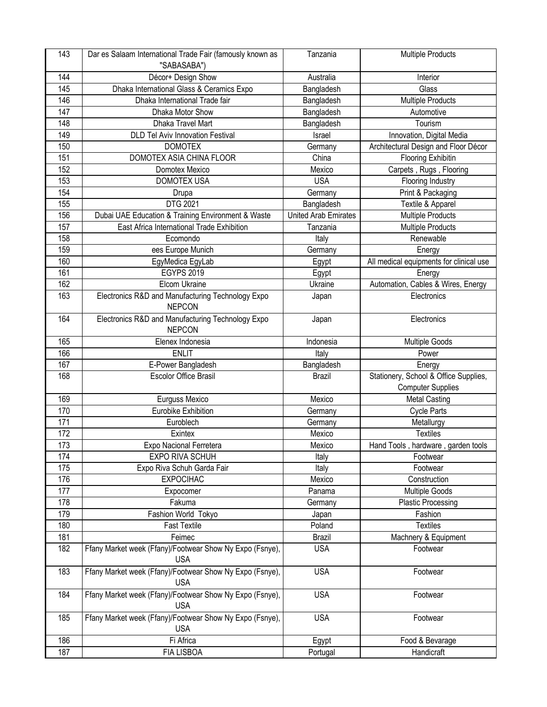| 143 | Dar es Salaam International Trade Fair (famously known as              | Tanzania                    | <b>Multiple Products</b>                |
|-----|------------------------------------------------------------------------|-----------------------------|-----------------------------------------|
|     | "SABASABA")                                                            |                             |                                         |
| 144 | Décor+ Design Show                                                     | Australia                   | Interior                                |
| 145 | Dhaka International Glass & Ceramics Expo                              | Bangladesh                  | Glass                                   |
| 146 | Dhaka International Trade fair                                         | Bangladesh                  | <b>Multiple Products</b>                |
| 147 | Dhaka Motor Show                                                       | Bangladesh                  | Automotive                              |
| 148 | Dhaka Travel Mart                                                      | Bangladesh                  | Tourism                                 |
| 149 | <b>DLD Tel Aviv Innovation Festival</b>                                | Israel                      | Innovation, Digital Media               |
| 150 | <b>DOMOTEX</b>                                                         | Germany                     | Architectural Design and Floor Décor    |
| 151 | DOMOTEX ASIA CHINA FLOOR                                               | China                       | <b>Flooring Exhibitin</b>               |
| 152 | Domotex Mexico                                                         | Mexico                      | Carpets, Rugs, Flooring                 |
| 153 | <b>DOMOTEX USA</b>                                                     | <b>USA</b>                  | Flooring Industry                       |
| 154 | Drupa                                                                  | Germany                     | Print & Packaging                       |
| 155 | DTG 2021                                                               | Bangladesh                  | Textile & Apparel                       |
| 156 | Dubai UAE Education & Training Environment & Waste                     | <b>United Arab Emirates</b> | Multiple Products                       |
| 157 | East Africa International Trade Exhibition                             | Tanzania                    | <b>Multiple Products</b>                |
| 158 | Ecomondo                                                               | Italy                       | Renewable                               |
| 159 | ees Europe Munich                                                      | Germany                     | Energy                                  |
| 160 | EgyMedica EgyLab                                                       | Egypt                       | All medical equipments for clinical use |
| 161 | <b>EGYPS 2019</b>                                                      | Egypt                       | Energy                                  |
| 162 | Elcom Ukraine                                                          | Ukraine                     | Automation, Cables & Wires, Energy      |
| 163 | Electronics R&D and Manufacturing Technology Expo<br><b>NEPCON</b>     | Japan                       | Electronics                             |
| 164 | Electronics R&D and Manufacturing Technology Expo<br><b>NEPCON</b>     | Japan                       | Electronics                             |
| 165 | Elenex Indonesia                                                       | Indonesia                   | <b>Multiple Goods</b>                   |
| 166 | <b>ENLIT</b>                                                           | Italy                       | Power                                   |
| 167 | E-Power Bangladesh                                                     | Bangladesh                  | Energy                                  |
| 168 | Escolor Office Brasil                                                  | <b>Brazil</b>               | Stationery, School & Office Supplies,   |
|     |                                                                        |                             | <b>Computer Supplies</b>                |
| 169 | Eurguss Mexico                                                         | Mexico                      | <b>Metal Casting</b>                    |
| 170 | Eurobike Exhibition                                                    | Germany                     | <b>Cycle Parts</b>                      |
| 171 | Euroblech                                                              | Germany                     | Metallurgy                              |
| 172 | Exintex                                                                | Mexico                      | <b>Textiles</b>                         |
| 173 | Expo Nacional Ferretera                                                | Mexico                      | Hand Tools, hardware, garden tools      |
| 174 | EXPO RIVA SCHUH                                                        | Italy                       | Footwear                                |
| 175 | Expo Riva Schuh Garda Fair                                             | Italy                       | Footwear                                |
| 176 | <b>EXPOCIHAC</b>                                                       | Mexico                      | Construction                            |
| 177 | Expocomer                                                              | Panama                      | Multiple Goods                          |
| 178 | Fakuma                                                                 | Germany                     | <b>Plastic Processing</b>               |
| 179 | Fashion World Tokyo                                                    | Japan                       | Fashion                                 |
| 180 | <b>Fast Textile</b>                                                    | Poland                      | <b>Textiles</b>                         |
| 181 | Feimec                                                                 | <b>Brazil</b>               | Machnery & Equipment                    |
| 182 | Ffany Market week (Ffany)/Footwear Show Ny Expo (Fsnye),<br><b>USA</b> | <b>USA</b>                  | Footwear                                |
| 183 | Ffany Market week (Ffany)/Footwear Show Ny Expo (Fsnye),<br><b>USA</b> | <b>USA</b>                  | Footwear                                |
| 184 | Ffany Market week (Ffany)/Footwear Show Ny Expo (Fsnye),<br><b>USA</b> | <b>USA</b>                  | Footwear                                |
| 185 | Ffany Market week (Ffany)/Footwear Show Ny Expo (Fsnye),<br><b>USA</b> | <b>USA</b>                  | Footwear                                |
| 186 | Fi Africa                                                              | Egypt                       | Food & Bevarage                         |
| 187 | <b>FIA LISBOA</b>                                                      | Portugal                    | Handicraft                              |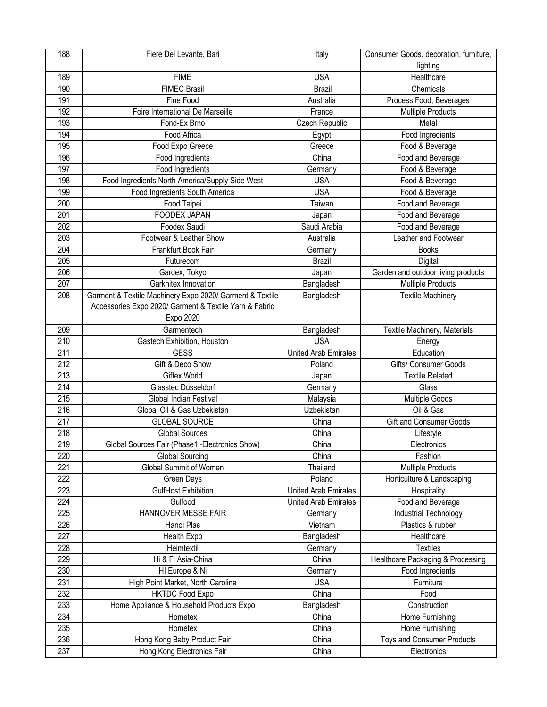| 188              | Fiere Del Levante, Bari                                  | Italy                       | Consumer Goods, decoration, furniture, |
|------------------|----------------------------------------------------------|-----------------------------|----------------------------------------|
|                  |                                                          |                             | lighting                               |
| 189              | <b>FIME</b>                                              | <b>USA</b>                  | Healthcare                             |
| 190              | <b>FIMEC Brasil</b>                                      | <b>Brazil</b>               | Chemicals                              |
| 191              | Fine Food                                                | Australia                   | Process Food, Beverages                |
| 192              | Foire International De Marseille                         | France                      | Multiple Products                      |
| 193              | Fond-Ex Brno                                             | Czech Republic              | Metal                                  |
| 194              | Food Africa                                              | Egypt                       | Food Ingredients                       |
| 195              | Food Expo Greece                                         | Greece                      | Food & Beverage                        |
| 196              | Food Ingredients                                         | China                       | Food and Beverage                      |
| 197              | Food Ingredients                                         | Germany                     | Food & Beverage                        |
| 198              | Food Ingredients North America/Supply Side West          | <b>USA</b>                  | Food & Beverage                        |
| 199              | Food Ingredients South America                           | <b>USA</b>                  | Food & Beverage                        |
| 200              | Food Taipei                                              | Taiwan                      | Food and Beverage                      |
| 201              | FOODEX JAPAN                                             | Japan                       | Food and Beverage                      |
| 202              | Foodex Saudi                                             | Saudi Arabia                | Food and Beverage                      |
| 203              | Footwear & Leather Show                                  | Australia                   | Leather and Footwear                   |
| 204              | Frankfurt Book Fair                                      | Germany                     | <b>Books</b>                           |
| 205              | Futurecom                                                | Brazil                      | Digital                                |
| 206              | Gardex, Tokyo                                            | Japan                       | Garden and outdoor living products     |
| 207              | Garknitex Innovation                                     | Bangladesh                  | <b>Multiple Products</b>               |
| 208              | Garment & Textile Machinery Expo 2020/ Garment & Textile | Bangladesh                  | <b>Textile Machinery</b>               |
|                  | Accessories Expo 2020/ Garment & Textile Yarn & Fabric   |                             |                                        |
|                  | Expo 2020                                                |                             |                                        |
| 209              | Garmentech                                               | Bangladesh                  | Textile Machinery, Materials           |
| 210              | Gastech Exhibition, Houston                              | <b>USA</b>                  | Energy                                 |
| 211              | <b>GESS</b>                                              | <b>United Arab Emirates</b> | Education                              |
| $\overline{212}$ | Gift & Deco Show                                         | Poland                      | Gifts/ Consumer Goods                  |
| 213              | <b>Giftex World</b>                                      | Japan                       | <b>Textile Related</b>                 |
| 214              | Glasstec Dusseldorf                                      | Germany                     | Glass                                  |
| 215              | Global Indian Festival                                   | Malaysia                    | Multiple Goods                         |
| 216              | Global Oil & Gas Uzbekistan                              | Uzbekistan                  | Oil & Gas                              |
| 217              | <b>GLOBAL SOURCE</b>                                     | China                       | Gift and Consumer Goods                |
| 218              | <b>Global Sources</b>                                    | China                       | Lifestyle                              |
| 219              | Global Sources Fair (Phase1 - Electronics Show)          | China                       | Electronics                            |
| 220              | <b>Global Sourcing</b>                                   | China                       | Fashion                                |
| 221              | Global Summit of Women                                   | Thailand                    | <b>Multiple Products</b>               |
| $\overline{222}$ | Green Days                                               | Poland                      | Horticulture & Landscaping             |
| 223              | GulfHost Exhibition                                      | <b>United Arab Emirates</b> | Hospitality                            |
| 224              | Gulfood                                                  | <b>United Arab Emirates</b> | Food and Beverage                      |
| 225              | HANNOVER MESSE FAIR                                      | Germany                     | Industrial Technology                  |
| 226              | Hanoi Plas                                               | Vietnam                     | Plastics & rubber                      |
| 227              | Health Expo                                              | Bangladesh                  | Healthcare                             |
| 228              | Heimtextil                                               | Germany                     | <b>Textiles</b>                        |
| 229              | Hi & Fi Asia-China                                       | China                       | Healthcare Packaging & Processing      |
| 230              | HI Europe & Ni                                           | Germany                     | Food Ingredients                       |
| 231              | High Point Market, North Carolina                        | <b>USA</b>                  | Furniture                              |
| 232              | <b>HKTDC Food Expo</b>                                   | China                       | Food                                   |
| 233              | Home Appliance & Household Products Expo                 | Bangladesh                  | Construction                           |
| 234              | Hometex                                                  | China                       | Home Furnishing                        |
| 235              | Hometex                                                  | China                       | Home Furnishing                        |
| 236              | Hong Kong Baby Product Fair                              | China                       | Toys and Consumer Products             |
| 237              | Hong Kong Electronics Fair                               | China                       | Electronics                            |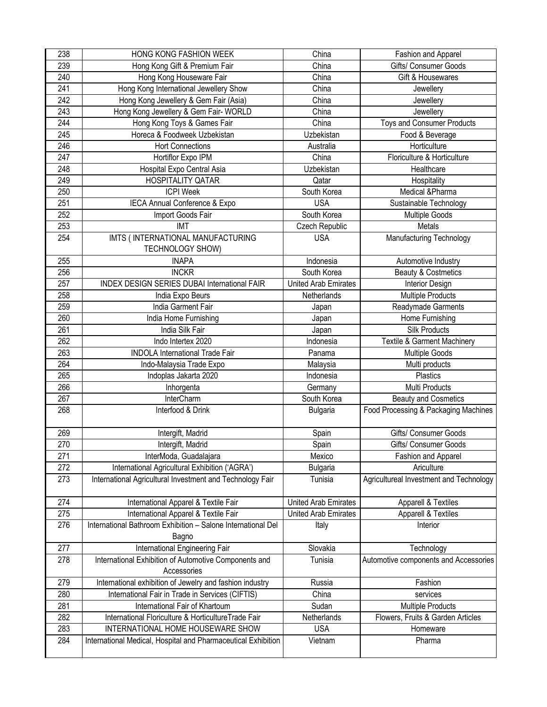| 238              | HONG KONG FASHION WEEK                                        | China                       | Fashion and Apparel                     |
|------------------|---------------------------------------------------------------|-----------------------------|-----------------------------------------|
| 239              | Hong Kong Gift & Premium Fair                                 | China                       | Gifts/ Consumer Goods                   |
| 240              | Hong Kong Houseware Fair                                      | China                       | Gift & Housewares                       |
| 241              | Hong Kong International Jewellery Show                        | China                       | Jewellery                               |
| $\overline{242}$ | Hong Kong Jewellery & Gem Fair (Asia)                         | China                       | Jewellery                               |
| 243              | Hong Kong Jewellery & Gem Fair- WORLD                         | China                       | Jewellery                               |
| 244              | Hong Kong Toys & Games Fair                                   | China                       | <b>Toys and Consumer Products</b>       |
| 245              | Horeca & Foodweek Uzbekistan                                  | Uzbekistan                  | Food & Beverage                         |
| 246              | <b>Hort Connections</b>                                       | Australia                   | Horticulture                            |
| 247              | Hortiflor Expo IPM                                            | China                       | Floriculture & Horticulture             |
| 248              | Hospital Expo Central Asia                                    | Uzbekistan                  | Healthcare                              |
| 249              | HOSPITALITY QATAR                                             | Qatar                       | Hospitality                             |
| 250              | <b>ICPI Week</b>                                              | South Korea                 | Medical &Pharma                         |
| 251              | IECA Annual Conference & Expo                                 | <b>USA</b>                  | Sustainable Technology                  |
| 252              | Import Goods Fair                                             | South Korea                 | Multiple Goods                          |
| 253              | <b>IMT</b>                                                    | Czech Republic              | Metals                                  |
| 254              | IMTS ( INTERNATIONAL MANUFACTURING                            | <b>USA</b>                  | Manufacturing Technology                |
|                  | TECHNOLOGY SHOW)                                              |                             |                                         |
| 255              | <b>INAPA</b>                                                  | Indonesia                   | Automotive Industry                     |
| 256              | <b>INCKR</b>                                                  | South Korea                 | Beauty & Costmetics                     |
| 257              | <b>INDEX DESIGN SERIES DUBAI International FAIR</b>           | <b>United Arab Emirates</b> | Interior Design                         |
| 258              | India Expo Beurs                                              | Netherlands                 | <b>Multiple Products</b>                |
| 259              | India Garment Fair                                            | Japan                       | Readymade Garments                      |
| 260              | India Home Furnishing                                         | Japan                       | Home Furnishing                         |
| 261              | India Silk Fair                                               | Japan                       | Silk Products                           |
| 262              | Indo Intertex 2020                                            | Indonesia                   | <b>Textile &amp; Garment Machinery</b>  |
| 263              | <b>INDOLA International Trade Fair</b>                        | Panama                      | Multiple Goods                          |
| 264              | Indo-Malaysia Trade Expo                                      | Malaysia                    | Multi products                          |
| 265              | Indoplas Jakarta 2020                                         | Indonesia                   | Plastics                                |
| 266              | Inhorgenta                                                    | Germany                     | Multi Products                          |
| 267              | InterCharm                                                    | South Korea                 | <b>Beauty and Cosmetics</b>             |
| 268              | Interfood & Drink                                             | <b>Bulgaria</b>             | Food Processing & Packaging Machines    |
|                  |                                                               |                             |                                         |
| 269              | Intergift, Madrid                                             | Spain                       | Gifts/ Consumer Goods                   |
| 270              | Intergift, Madrid                                             | Spain                       | Gifts/ Consumer Goods                   |
| 271              | InterModa, Guadalajara                                        | Mexico                      | Fashion and Apparel                     |
| 272              | International Agricultural Exhibition ('AGRA')                | <b>Bulgaria</b>             | Ariculture                              |
| 273              | International Agricultural Investment and Technology Fair     | Tunisia                     | Agricultureal Investment and Technology |
|                  |                                                               |                             |                                         |
| 274              | International Apparel & Textile Fair                          | United Arab Emirates        | Apparell & Textiles                     |
| 275              | International Apparel & Textile Fair                          | <b>United Arab Emirates</b> | Apparell & Textiles                     |
| 276              | International Bathroom Exhibition - Salone International Del  | Italy                       | Interior                                |
|                  | Bagno                                                         |                             |                                         |
| 277              | International Engineering Fair                                | Slovakia                    | Technology                              |
| 278              | International Exhibition of Automotive Components and         | Tunisia                     | Automotive components and Accessories   |
|                  | Accessories                                                   |                             |                                         |
| 279              | International exhibition of Jewelry and fashion industry      | Russia                      | Fashion                                 |
| 280              | International Fair in Trade in Services (CIFTIS)              | China                       | services                                |
| 281              | International Fair of Khartoum                                | Sudan                       | <b>Multiple Products</b>                |
| 282              | International Floriculture & HorticultureTrade Fair           | Netherlands                 | Flowers, Fruits & Garden Articles       |
| 283              | INTERNATIONAL HOME HOUSEWARE SHOW                             | <b>USA</b>                  | Homeware                                |
| 284              | International Medical, Hospital and Pharmaceutical Exhibition | Vietnam                     | Pharma                                  |
|                  |                                                               |                             |                                         |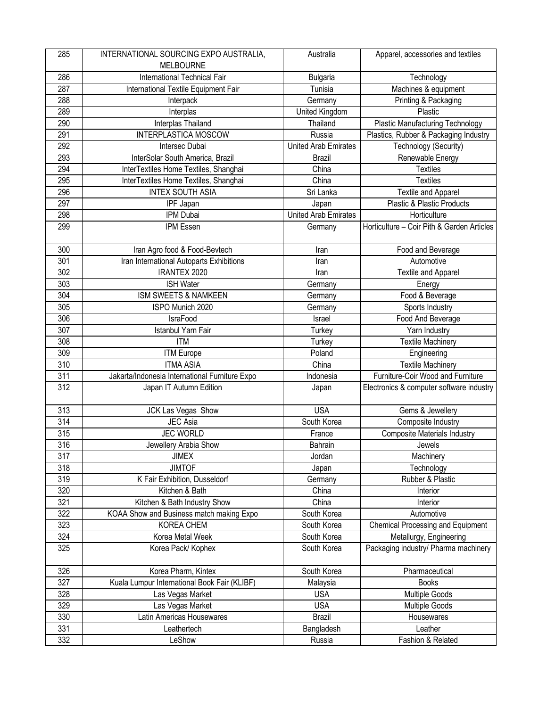| 285              | INTERNATIONAL SOURCING EXPO AUSTRALIA,         | Australia                   | Apparel, accessories and textiles          |
|------------------|------------------------------------------------|-----------------------------|--------------------------------------------|
|                  | <b>MELBOURNE</b>                               |                             |                                            |
| 286              | International Technical Fair                   | <b>Bulgaria</b>             | Technology                                 |
| 287              | International Textile Equipment Fair           | Tunisia                     | Machines & equipment                       |
| 288              | Interpack                                      | Germany                     | Printing & Packaging                       |
| 289              | Interplas                                      | United Kingdom              | Plastic                                    |
| 290              | Interplas Thailand                             | Thailand                    | <b>Plastic Manufacturing Technology</b>    |
| 291              | INTERPLASTICA MOSCOW                           | Russia                      | Plastics, Rubber & Packaging Industry      |
| 292              | Intersec Dubai                                 | <b>United Arab Emirates</b> | Technology (Security)                      |
| 293              | InterSolar South America, Brazil               | <b>Brazil</b>               | Renewable Energy                           |
| 294              | InterTextiles Home Textiles, Shanghai          | China                       | <b>Textiles</b>                            |
| 295              | InterTextiles Home Textiles, Shanghai          | China                       | <b>Textiles</b>                            |
| 296              | <b>INTEX SOUTH ASIA</b>                        | Sri Lanka                   | Textile and Apparel                        |
| 297              | <b>IPF Japan</b>                               | Japan                       | <b>Plastic &amp; Plastic Products</b>      |
| 298              | IPM Dubai                                      | <b>United Arab Emirates</b> | Horticulture                               |
| 299              | IPM Essen                                      | Germany                     | Horticulture - Coir Pith & Garden Articles |
| 300              | Iran Agro food & Food-Bevtech                  | Iran                        | Food and Beverage                          |
| 301              | Iran International Autoparts Exhibitions       | Iran                        | Automotive                                 |
| 302              | <b>IRANTEX 2020</b>                            | Iran                        | <b>Textile and Apparel</b>                 |
| 303              | <b>ISH Water</b>                               | Germany                     | Energy                                     |
| 304              | ISM SWEETS & NAMKEEN                           | Germany                     | Food & Beverage                            |
| 305              | ISPO Munich 2020                               | Germany                     | Sports Industry                            |
| 306              | <b>IsraFood</b>                                | Israel                      | Food And Beverage                          |
| 307              | Istanbul Yarn Fair                             | Turkey                      | Yarn Industry                              |
| 308              | <b>ITM</b>                                     | Turkey                      | Textile Machinery                          |
| 309              | <b>ITM Europe</b>                              | Poland                      | Engineering                                |
| $\overline{310}$ | <b>ITMA ASIA</b>                               | China                       | <b>Textile Machinery</b>                   |
| 311              | Jakarta/Indonesia International Furniture Expo | Indonesia                   | Furniture-Coir Wood and Furniture          |
| 312              | Japan IT Autumn Edition                        | Japan                       | Electronics & computer software industry   |
| 313              | JCK Las Vegas Show                             | <b>USA</b>                  | Gems & Jewellery                           |
| 314              | <b>JEC</b> Asia                                | South Korea                 | Composite Industry                         |
| 315              | <b>JEC WORLD</b>                               | France                      | <b>Composite Materials Industry</b>        |
| 316              | Jewellery Arabia Show                          | Bahrain                     | Jewels                                     |
| 317              | <b>JIMEX</b>                                   | Jordan                      | Machinery                                  |
| 318              | <b>JIMTOF</b>                                  | Japan                       | Technology                                 |
| 319              | K Fair Exhibition, Dusseldorf                  | Germany                     | Rubber & Plastic                           |
| 320              | Kitchen & Bath                                 | China                       | Interior                                   |
| 321              | Kitchen & Bath Industry Show                   | China                       | Interior                                   |
| 322              | KOAA Show and Business match making Expo       | South Korea                 | Automotive                                 |
| 323              | <b>KOREA CHEM</b>                              | South Korea                 | Chemical Processing and Equipment          |
| 324              | Korea Metal Week                               | South Korea                 | Metallurgy, Engineering                    |
| 325              | Korea Pack/ Kophex                             | South Korea                 | Packaging industry/ Pharma machinery       |
| 326              | Korea Pharm, Kintex                            | South Korea                 | Pharmaceutical                             |
| 327              | Kuala Lumpur International Book Fair (KLIBF)   | Malaysia                    | <b>Books</b>                               |
| 328              | Las Vegas Market                               | <b>USA</b>                  | Multiple Goods                             |
| 329              | Las Vegas Market                               | <b>USA</b>                  | <b>Multiple Goods</b>                      |
| 330              | Latin Americas Housewares                      | <b>Brazil</b>               | Housewares                                 |
| 331              | Leathertech                                    | Bangladesh                  | Leather                                    |
| 332              | LeShow                                         | Russia                      | Fashion & Related                          |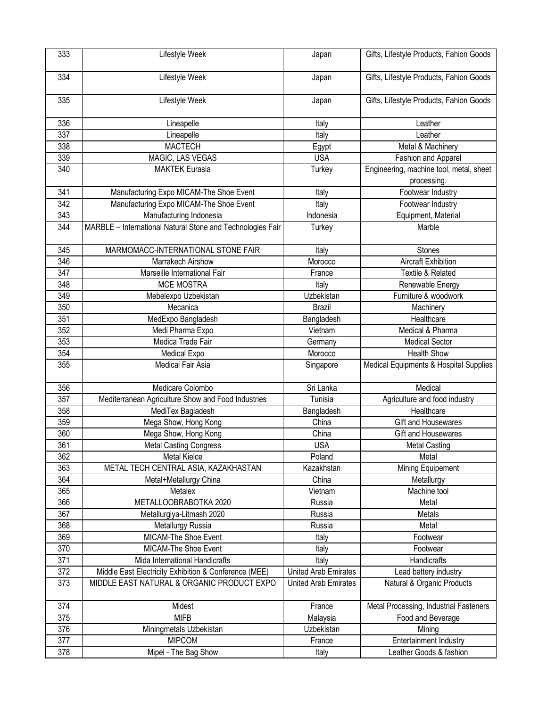| 333 | Lifestyle Week                                             | Japan                | Gifts, Lifestyle Products, Fahion Goods                |
|-----|------------------------------------------------------------|----------------------|--------------------------------------------------------|
| 334 | Lifestyle Week                                             | Japan                | Gifts, Lifestyle Products, Fahion Goods                |
| 335 | Lifestyle Week                                             | Japan                | Gifts, Lifestyle Products, Fahion Goods                |
| 336 | Lineapelle                                                 | Italy                | Leather                                                |
| 337 | Lineapelle                                                 | Italy                | Leather                                                |
| 338 | <b>MACTECH</b>                                             | Egypt                | Metal & Machinery                                      |
| 339 | MAGIC, LAS VEGAS                                           | <b>USA</b>           | Fashion and Apparel                                    |
| 340 | <b>MAKTEK Eurasia</b>                                      | Turkey               | Engineering, machine tool, metal, sheet<br>processing. |
| 341 | Manufacturing Expo MICAM-The Shoe Event                    | Italy                | Footwear Industry                                      |
| 342 | Manufacturing Expo MICAM-The Shoe Event                    | Italy                | Footwear Industry                                      |
| 343 | Manufacturing Indonesia                                    | Indonesia            | Equipment, Material                                    |
| 344 | MARBLE - International Natural Stone and Technologies Fair | Turkey               | Marble                                                 |
| 345 | MARMOMACC-INTERNATIONAL STONE FAIR                         | Italy                | <b>Stones</b>                                          |
| 346 | Marrakech Airshow                                          | Morocco              | <b>Aircraft Exhibition</b>                             |
| 347 | Marseille International Fair                               | France               | <b>Textile &amp; Related</b>                           |
| 348 | <b>MCE MOSTRA</b>                                          | Italy                | Renewable Energy                                       |
| 349 | Mebelexpo Uzbekistan                                       | Uzbekistan           | Furniture & woodwork                                   |
| 350 | Mecanica                                                   | <b>Brazil</b>        | Machinery                                              |
| 351 | MedExpo Bangladesh                                         | Bangladesh           | Healthcare                                             |
| 352 | Medi Pharma Expo                                           | Vietnam              | Medical & Pharma                                       |
| 353 | Medica Trade Fair                                          | Germany              | <b>Medical Sector</b>                                  |
| 354 | <b>Medical Expo</b>                                        | Morocco              | <b>Health Show</b>                                     |
| 355 | <b>Medical Fair Asia</b>                                   | Singapore            | Medical Equipments & Hospital Supplies                 |
| 356 | Medicare Colombo                                           | Sri Lanka            | Medical                                                |
| 357 | Mediterranean Agriculture Show and Food Industries         | Tunisia              | Agriculture and food industry                          |
| 358 | MediTex Bagladesh                                          | Bangladesh           | Healthcare                                             |
| 359 | Mega Show, Hong Kong                                       | China                | Gift and Housewares                                    |
| 360 | Mega Show, Hong Kong                                       | China                | Gift and Housewares                                    |
| 361 | <b>Metal Casting Congress</b>                              | <b>USA</b>           | <b>Metal Casting</b>                                   |
| 362 | Metal Kielce                                               | Poland               | Metal                                                  |
| 363 | METAL TECH CENTRAL ASIA, KAZAKHASTAN                       | Kazakhstan           | Mining Equipement                                      |
| 364 | Metal+Metallurgy China                                     | China                | Metallurgy                                             |
| 365 | Metalex                                                    | Vietnam              | Machine tool                                           |
| 366 | METALLOOBRABOTKA 2020                                      | Russia               | Metal                                                  |
| 367 | Metallurgiya-Litmash 2020                                  | Russia               | Metals                                                 |
| 368 | Metallurgy Russia                                          | Russia               | Metal                                                  |
| 369 | MICAM-The Shoe Event                                       | Italy                | Footwear                                               |
| 370 | MICAM-The Shoe Event                                       | Italy                | Footwear                                               |
| 371 | Mida International Handicrafts                             | Italy                | Handicrafts                                            |
| 372 | Middle East Electricity Exhibition & Conference (MEE)      | United Arab Emirates | Lead battery industry                                  |
| 373 | MIDDLE EAST NATURAL & ORGANIC PRODUCT EXPO                 | United Arab Emirates | Natural & Organic Products                             |
| 374 | Midest                                                     | France               | Metal Processing, Industrial Fasteners                 |
| 375 | <b>MIFB</b>                                                | Malaysia             | Food and Beverage                                      |
| 376 | Miningmetals Uzbekistan                                    | Uzbekistan           | Mining                                                 |
| 377 | <b>MIPCOM</b>                                              | France               | <b>Entertainment Industry</b>                          |
| 378 | Mipel - The Bag Show                                       | Italy                | Leather Goods & fashion                                |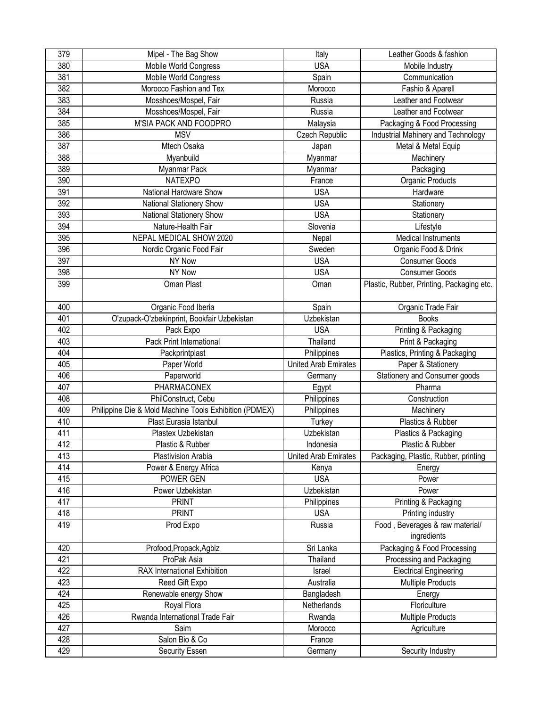| 379              | Mipel - The Bag Show                                   | Italy                       | Leather Goods & fashion                   |
|------------------|--------------------------------------------------------|-----------------------------|-------------------------------------------|
| 380              | Mobile World Congress                                  | <b>USA</b>                  | Mobile Industry                           |
| 381              | Mobile World Congress                                  | Spain                       | Communication                             |
| 382              | Morocco Fashion and Tex                                | Morocco                     | Fashio & Aparell                          |
| 383              | Mosshoes/Mospel, Fair                                  | Russia                      | Leather and Footwear                      |
| 384              | Mosshoes/Mospel, Fair                                  | Russia                      | Leather and Footwear                      |
| 385              | M'SIA PACK AND FOODPRO                                 | Malaysia                    | Packaging & Food Processing               |
| 386              | <b>MSV</b>                                             | Czech Republic              | <b>Industrial Mahinery and Technology</b> |
| 387              | Mtech Osaka                                            | Japan                       | Metal & Metal Equip                       |
| 388              | Myanbuild                                              | Myanmar                     | Machinery                                 |
| 389              | Myanmar Pack                                           | Myanmar                     | Packaging                                 |
| 390              | <b>NATEXPO</b>                                         | France                      | Organic Products                          |
| 391              | National Hardware Show                                 | <b>USA</b>                  | Hardware                                  |
| $\overline{392}$ | National Stationery Show                               | <b>USA</b>                  | Stationery                                |
| 393              | National Stationery Show                               | <b>USA</b>                  | Stationery                                |
| 394              | Nature-Health Fair                                     | Slovenia                    | Lifestyle                                 |
| 395              | NEPAL MEDICAL SHOW 2020                                | Nepal                       | <b>Medical Instruments</b>                |
| 396              | Nordic Organic Food Fair                               | Sweden                      | Organic Food & Drink                      |
| 397              | NY Now                                                 | <b>USA</b>                  | <b>Consumer Goods</b>                     |
| 398              | <b>NY Now</b>                                          | <b>USA</b>                  | Consumer Goods                            |
| 399              | Oman Plast                                             | Oman                        | Plastic, Rubber, Printing, Packaging etc. |
|                  |                                                        |                             |                                           |
| 400              | Organic Food Iberia                                    | Spain                       | Organic Trade Fair                        |
| 401              | O'zupack-O'zbekinprint, Bookfair Uzbekistan            | Uzbekistan                  | <b>Books</b>                              |
| 402              | Pack Expo                                              | <b>USA</b>                  | Printing & Packaging                      |
| 403              | Pack Print International                               | Thailand                    | Print & Packaging                         |
| 404              | Packprintplast                                         | Philippines                 | Plastics, Printing & Packaging            |
| 405              | Paper World                                            | <b>United Arab Emirates</b> | Paper & Stationery                        |
| 406              | Paperworld                                             | Germany                     | Stationery and Consumer goods             |
| 407              | PHARMACONEX                                            | Egypt                       | Pharma                                    |
| 408              | PhilConstruct, Cebu                                    | Philippines                 | Construction                              |
| 409              | Philippine Die & Mold Machine Tools Exhibition (PDMEX) | Philippines                 | Machinery                                 |
| 410              | Plast Eurasia Istanbul                                 | Turkey                      | Plastics & Rubber                         |
| 411              | Plastex Uzbekistan                                     | Uzbekistan                  | Plastics & Packaging                      |
| 412              | Plastic & Rubber                                       | Indonesia                   | Plastic & Rubber                          |
| 413              | Plastivision Arabia                                    | <b>United Arab Emirates</b> | Packaging, Plastic, Rubber, printing      |
| 414              | Power & Energy Africa                                  | Kenya                       | Energy                                    |
| 415              | POWER GEN                                              | <b>USA</b>                  | Power                                     |
| 416              | Power Uzbekistan                                       | Uzbekistan                  | Power                                     |
| 417              | <b>PRINT</b>                                           | Philippines                 | Printing & Packaging                      |
| 418              | <b>PRINT</b>                                           | <b>USA</b>                  | Printing industry                         |
| 419              | Prod Expo                                              | Russia                      | Food, Beverages & raw material/           |
|                  |                                                        |                             | ingredients                               |
| 420              | Profood, Propack, Agbiz                                | Sri Lanka                   | Packaging & Food Processing               |
| 421              | ProPak Asia                                            | Thailand                    | Processing and Packaging                  |
| 422              | RAX International Exhibition                           | Israel                      | <b>Electrical Engineering</b>             |
| 423              | Reed Gift Expo                                         | Australia                   | <b>Multiple Products</b>                  |
| 424              | Renewable energy Show                                  | Bangladesh                  | Energy                                    |
| 425              | Royal Flora                                            | Netherlands                 | Floriculture                              |
| 426              | Rwanda International Trade Fair                        | Rwanda                      | <b>Multiple Products</b>                  |
| 427              | Saim                                                   | Morocco                     | Agriculture                               |
| 428              | Salon Bio & Co                                         | France                      |                                           |
| 429              | Security Essen                                         | Germany                     | Security Industry                         |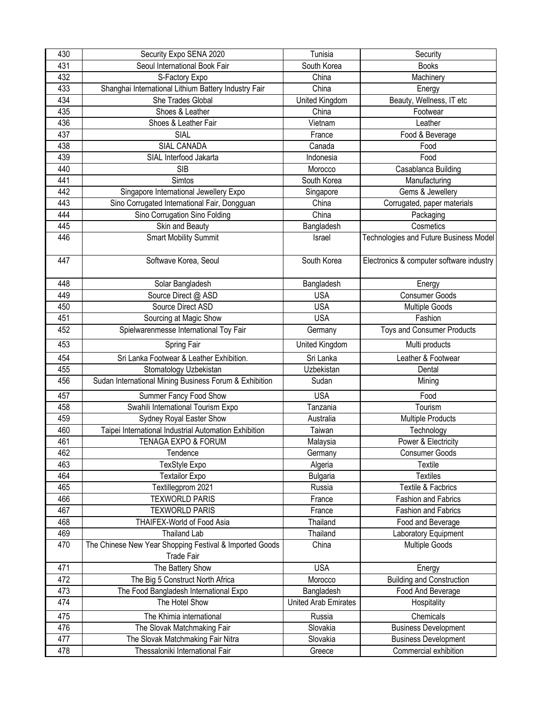|                                                                                       | Security                                 |
|---------------------------------------------------------------------------------------|------------------------------------------|
| 431<br>Seoul International Book Fair<br>South Korea                                   | <b>Books</b>                             |
| 432<br>China<br>S-Factory Expo                                                        | Machinery                                |
| Shanghai International Lithium Battery Industry Fair<br>433<br>China                  | Energy                                   |
| 434<br>She Trades Global<br>United Kingdom                                            | Beauty, Wellness, IT etc                 |
| 435<br>Shoes & Leather<br>China                                                       | Footwear                                 |
| 436<br>Shoes & Leather Fair<br>Vietnam                                                | Leather                                  |
| 437<br>SIAL<br>France                                                                 | Food & Beverage                          |
| 438<br>SIAL CANADA<br>Canada                                                          | Food                                     |
| 439<br>SIAL Interfood Jakarta<br>Indonesia                                            | Food                                     |
| 440<br><b>SIB</b><br>Morocco                                                          | Casablanca Building                      |
| 441<br>Simtos<br>South Korea                                                          | Manufacturing                            |
| 442<br>Singapore International Jewellery Expo<br>Singapore                            | Gems & Jewellery                         |
| 443<br>Sino Corrugated International Fair, Dongguan<br>China                          | Corrugated, paper materials              |
| 444<br>Sino Corrugation Sino Folding<br>China                                         | Packaging                                |
| 445<br>Skin and Beauty<br>Bangladesh                                                  | Cosmetics                                |
| 446<br><b>Smart Mobility Summit</b><br>Israel                                         | Technologies and Future Business Model   |
| 447<br>Softwave Korea, Seoul<br>South Korea                                           | Electronics & computer software industry |
| 448<br>Bangladesh<br>Solar Bangladesh                                                 | Energy                                   |
| 449<br>Source Direct @ ASD<br><b>USA</b>                                              | <b>Consumer Goods</b>                    |
| 450<br>Source Direct ASD<br><b>USA</b>                                                | <b>Multiple Goods</b>                    |
| 451<br>Sourcing at Magic Show<br><b>USA</b>                                           | Fashion                                  |
| 452<br>Spielwarenmesse International Toy Fair<br>Germany                              | <b>Toys and Consumer Products</b>        |
| 453<br>Spring Fair<br>United Kingdom                                                  | Multi products                           |
| Sri Lanka<br>454<br>Sri Lanka Footwear & Leather Exhibition.                          | Leather & Footwear                       |
| 455<br>Uzbekistan<br>Stomatology Uzbekistan                                           | Dental                                   |
| 456<br>Sudan International Mining Business Forum & Exhibition<br>Sudan                | Mining                                   |
| Summer Fancy Food Show<br><b>USA</b><br>457                                           | Food                                     |
| 458<br>Swahili International Tourism Expo<br>Tanzania                                 | Tourism                                  |
| 459<br>Sydney Royal Easter Show<br>Australia                                          | <b>Multiple Products</b>                 |
| 460<br>Taipei International Industrial Automation Exhibition<br>Taiwan                | Technology                               |
| 461<br>TENAGA EXPO & FORUM<br>Malaysia                                                | Power & Electricity                      |
| 462<br>Tendence<br>Germany                                                            | <b>Consumer Goods</b>                    |
| 463<br><b>TexStyle Expo</b><br>Algeria                                                | Textile                                  |
| 464<br><b>Textailor Expo</b><br><b>Bulgaria</b>                                       | <b>Textiles</b>                          |
| 465<br>Textillegprom 2021<br>Russia                                                   | Textile & Facbrics                       |
| <b>TEXWORLD PARIS</b><br>466<br>France                                                | <b>Fashion and Fabrics</b>               |
| 467<br><b>TEXWORLD PARIS</b><br>France                                                | <b>Fashion and Fabrics</b>               |
| 468<br>THAIFEX-World of Food Asia<br>Thailand                                         | Food and Beverage                        |
| 469<br><b>Thailand Lab</b><br>Thailand                                                | Laboratory Equipment                     |
| The Chinese New Year Shopping Festival & Imported Goods<br>470<br>China<br>Trade Fair | <b>Multiple Goods</b>                    |
| <b>USA</b><br>471<br>The Battery Show                                                 | Energy                                   |
| 472<br>The Big 5 Construct North Africa<br>Morocco                                    | <b>Building and Construction</b>         |
| 473<br>The Food Bangladesh International Expo<br>Bangladesh                           | Food And Beverage                        |
| 474<br>The Hotel Show<br><b>United Arab Emirates</b>                                  | Hospitality                              |
| 475<br>The Khimia international<br>Russia                                             | Chemicals                                |
| 476<br>Slovakia<br>The Slovak Matchmaking Fair                                        | <b>Business Development</b>              |
|                                                                                       |                                          |
| 477<br>The Slovak Matchmaking Fair Nitra<br>Slovakia                                  | <b>Business Development</b>              |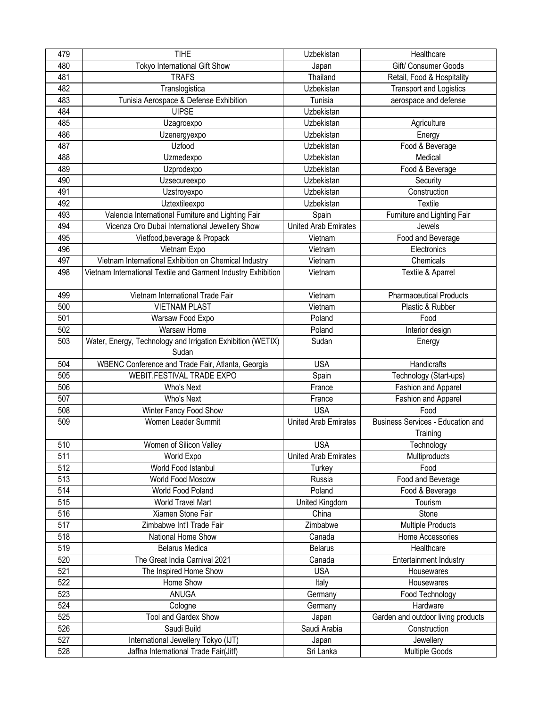| 479              | <b>TIHE</b>                                                   | Uzbekistan                  | Healthcare                               |
|------------------|---------------------------------------------------------------|-----------------------------|------------------------------------------|
| 480              | Tokyo International Gift Show                                 | Japan                       | Gift/ Consumer Goods                     |
| 481              | <b>TRAFS</b>                                                  | Thailand                    | Retail, Food & Hospitality               |
| 482              | Translogistica                                                | Uzbekistan                  | <b>Transport and Logistics</b>           |
| 483              | Tunisia Aerospace & Defense Exhibition                        | Tunisia                     | aerospace and defense                    |
| 484              | <b>UIPSE</b>                                                  | Uzbekistan                  |                                          |
| 485              | Uzagroexpo                                                    | Uzbekistan                  | Agriculture                              |
| 486              | Uzenergyexpo                                                  | Uzbekistan                  | Energy                                   |
| 487              | Uzfood                                                        | Uzbekistan                  | Food & Beverage                          |
| 488              | Uzmedexpo                                                     | Uzbekistan                  | Medical                                  |
| 489              | Uzprodexpo                                                    | Uzbekistan                  | Food & Beverage                          |
| 490              | Uzsecureexpo                                                  | Uzbekistan                  | Security                                 |
| 491              | Uzstroyexpo                                                   | Uzbekistan                  | Construction                             |
| 492              | Uztextileexpo                                                 | Uzbekistan                  | Textile                                  |
| 493              | Valencia International Furniture and Lighting Fair            | Spain                       | Furniture and Lighting Fair              |
| 494              | Vicenza Oro Dubai International Jewellery Show                | <b>United Arab Emirates</b> | Jewels                                   |
| 495              | Vietfood, beverage & Propack                                  | Vietnam                     | Food and Beverage                        |
| 496              | Vietnam Expo                                                  | Vietnam                     | Electronics                              |
| 497              | Vietnam International Exhibition on Chemical Industry         | Vietnam                     | Chemicals                                |
| 498              | Vietnam International Textile and Garment Industry Exhibition | Vietnam                     | Textile & Aparrel                        |
|                  |                                                               |                             |                                          |
| 499              | Vietnam International Trade Fair                              | Vietnam                     | <b>Pharmaceutical Products</b>           |
| 500              | <b>VIETNAM PLAST</b>                                          | Vietnam                     | Plastic & Rubber                         |
| 501              | Warsaw Food Expo                                              | Poland                      | Food                                     |
| 502              | Warsaw Home                                                   | Poland                      | Interior design                          |
| 503              | Water, Energy, Technology and Irrigation Exhibition (WETIX)   | Sudan                       | Energy                                   |
|                  | Sudan                                                         |                             |                                          |
| 504              | WBENC Conference and Trade Fair, Atlanta, Georgia             | <b>USA</b>                  | Handicrafts                              |
| 505              | WEBIT.FESTIVAL TRADE EXPO                                     | Spain                       | Technology (Start-ups)                   |
| 506              | Who's Next                                                    | France                      | Fashion and Apparel                      |
| 507              | Who's Next                                                    | France                      | Fashion and Apparel                      |
| 508              | Winter Fancy Food Show                                        | <b>USA</b>                  | Food                                     |
| 509              | Women Leader Summit                                           | <b>United Arab Emirates</b> | <b>Business Services - Education and</b> |
|                  |                                                               |                             | Training                                 |
| 510              | Women of Silicon Valley                                       | <b>USA</b>                  | Technology                               |
| 511              | World Expo                                                    | <b>United Arab Emirates</b> | Multiproducts                            |
| 512              | World Food Istanbul                                           | Turkey                      | Food                                     |
| $\overline{513}$ | <b>World Food Moscow</b>                                      | Russia                      | Food and Beverage                        |
| 514              | World Food Poland                                             | Poland                      | Food & Beverage                          |
| 515              | World Travel Mart                                             | United Kingdom              | Tourism                                  |
| 516              | Xiamen Stone Fair                                             | China                       | Stone                                    |
| 517              | Zimbabwe Int'l Trade Fair                                     | Zimbabwe                    | <b>Multiple Products</b>                 |
| 518              | National Home Show                                            | Canada                      | Home Accessories                         |
| 519              | <b>Belarus Medica</b>                                         | <b>Belarus</b>              | Healthcare                               |
| 520              | The Great India Carnival 2021                                 | Canada                      | Entertainment Industry                   |
| 521              | The Inspired Home Show                                        | <b>USA</b>                  | Housewares                               |
| 522              | Home Show                                                     | Italy                       | Housewares                               |
| 523              | ANUGA                                                         | Germany                     | Food Technology                          |
| 524              | Cologne                                                       | Germany                     | Hardware                                 |
| 525              | Tool and Gardex Show                                          | Japan                       | Garden and outdoor living products       |
| 526              | Saudi Build                                                   | Saudi Arabia                | Construction                             |
| 527              | International Jewellery Tokyo (IJT)                           | Japan                       | Jewellery                                |
| 528              | Jaffna International Trade Fair(Jitf)                         | Sri Lanka                   | Multiple Goods                           |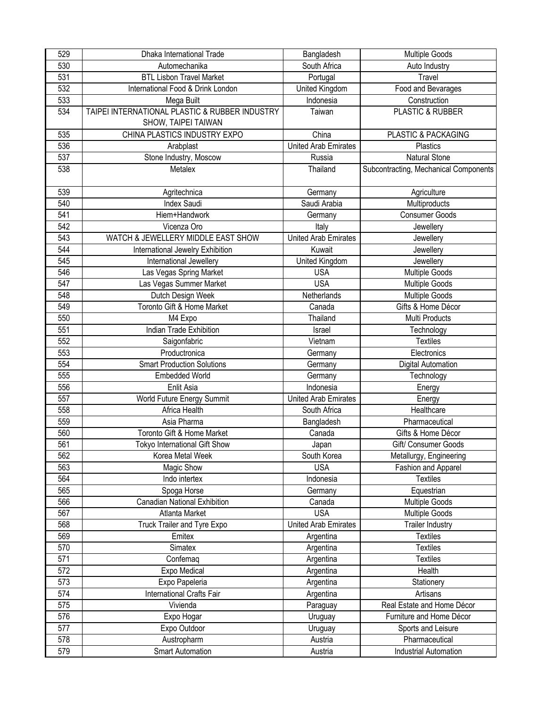| 529 | Dhaka International Trade                      | Bangladesh                  | <b>Multiple Goods</b>                 |
|-----|------------------------------------------------|-----------------------------|---------------------------------------|
| 530 | Automechanika                                  | South Africa                | Auto Industry                         |
| 531 | <b>BTL Lisbon Travel Market</b>                | Portugal                    | Travel                                |
| 532 | International Food & Drink London              | United Kingdom              | Food and Bevarages                    |
| 533 | Mega Built                                     | Indonesia                   | Construction                          |
| 534 | TAIPEI INTERNATIONAL PLASTIC & RUBBER INDUSTRY | Taiwan                      | PLASTIC & RUBBER                      |
|     | SHOW, TAIPEI TAIWAN                            |                             |                                       |
| 535 | CHINA PLASTICS INDUSTRY EXPO                   | China                       | PLASTIC & PACKAGING                   |
| 536 | Arabplast                                      | <b>United Arab Emirates</b> | Plastics                              |
| 537 | Stone Industry, Moscow                         | Russia                      | Natural Stone                         |
| 538 | Metalex                                        | Thailand                    | Subcontracting, Mechanical Components |
|     |                                                |                             |                                       |
| 539 | Agritechnica                                   | Germany                     | Agriculture                           |
| 540 | <b>Index Saudi</b>                             | Saudi Arabia                | Multiproducts                         |
| 541 | Hiem+Handwork                                  | Germany                     | <b>Consumer Goods</b>                 |
| 542 | Vicenza Oro                                    | Italy                       | Jewellery                             |
| 543 | WATCH & JEWELLERY MIDDLE EAST SHOW             | <b>United Arab Emirates</b> | Jewellery                             |
| 544 | International Jewelry Exhibition               | Kuwait                      | Jewellery                             |
| 545 | International Jewellery                        | United Kingdom              | Jewellery                             |
| 546 | Las Vegas Spring Market                        | <b>USA</b>                  | <b>Multiple Goods</b>                 |
| 547 | Las Vegas Summer Market                        | <b>USA</b>                  | <b>Multiple Goods</b>                 |
| 548 | Dutch Design Week                              | Netherlands                 | <b>Multiple Goods</b>                 |
| 549 | Toronto Gift & Home Market                     | Canada                      | Gifts & Home Décor                    |
| 550 | M4 Expo                                        | Thailand                    | Multi Products                        |
| 551 | <b>Indian Trade Exhibition</b>                 | Israel                      | Technology                            |
| 552 | Saigonfabric                                   | Vietnam                     | <b>Textiles</b>                       |
| 553 | Productronica                                  | Germany                     | Electronics                           |
| 554 | <b>Smart Production Solutions</b>              | Germany                     | <b>Digital Automation</b>             |
| 555 | <b>Embedded World</b>                          | Germany                     | Technology                            |
| 556 | Enlit Asia                                     | Indonesia                   | Energy                                |
| 557 | World Future Energy Summit                     | <b>United Arab Emirates</b> | Energy                                |
| 558 | Africa Health                                  | South Africa                | Healthcare                            |
| 559 | Asia Pharma                                    | Bangladesh                  | Pharmaceutical                        |
| 560 | Toronto Gift & Home Market                     | Canada                      | Gifts & Home Décor                    |
| 561 | Tokyo International Gift Show                  | Japan                       | Gift/ Consumer Goods                  |
| 562 | Korea Metal Week                               | South Korea                 | Metallurgy, Engineering               |
| 563 | Magic Show                                     | <b>USA</b>                  | Fashion and Apparel                   |
| 564 | Indo intertex                                  | Indonesia                   | <b>Textiles</b>                       |
| 565 | Spoga Horse                                    | Germany                     | Equestrian                            |
| 566 | Canadian National Exhibition                   | Canada                      | <b>Multiple Goods</b>                 |
| 567 | Atlanta Market                                 | <b>USA</b>                  | <b>Multiple Goods</b>                 |
| 568 | Truck Trailer and Tyre Expo                    | <b>United Arab Emirates</b> | <b>Trailer Industry</b>               |
| 569 | Emitex                                         | Argentina                   | <b>Textiles</b>                       |
| 570 | Simatex                                        | Argentina                   | <b>Textiles</b>                       |
| 571 | Confemaq                                       | Argentina                   | <b>Textiles</b>                       |
| 572 | Expo Medical                                   | Argentina                   | Health                                |
| 573 | Expo Papeleria                                 | Argentina                   | Stationery                            |
| 574 | International Crafts Fair                      | Argentina                   | Artisans                              |
| 575 | Vivienda                                       | Paraguay                    | Real Estate and Home Décor            |
| 576 | Expo Hogar                                     | Uruguay                     | Furniture and Home Décor              |
| 577 | Expo Outdoor                                   | Uruguay                     | Sports and Leisure                    |
| 578 | Austropharm                                    | Austria                     | Pharmaceutical                        |
| 579 | <b>Smart Automation</b>                        | Austria                     | <b>Industrial Automation</b>          |
|     |                                                |                             |                                       |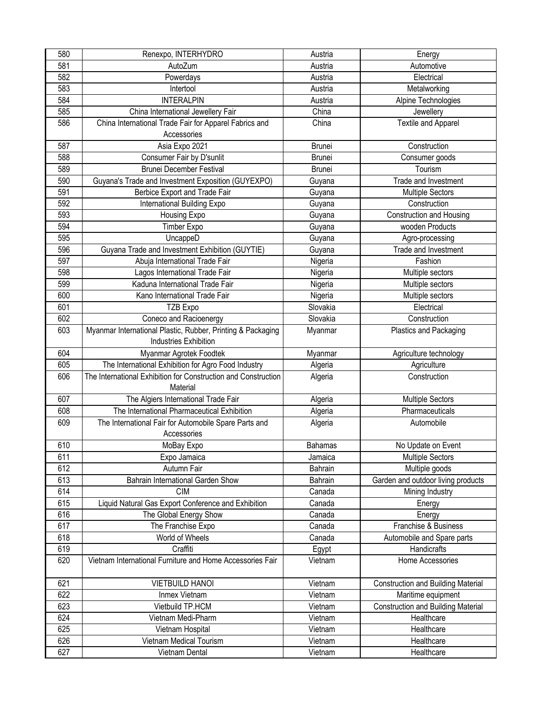| 580 | Renexpo, INTERHYDRO                                            | Austria        | Energy                                    |
|-----|----------------------------------------------------------------|----------------|-------------------------------------------|
| 581 | AutoZum                                                        | Austria        | Automotive                                |
| 582 | Powerdays                                                      | Austria        | Electrical                                |
| 583 | Intertool                                                      | Austria        | Metalworking                              |
| 584 | <b>INTERALPIN</b>                                              | Austria        | Alpine Technologies                       |
| 585 | China International Jewellery Fair                             | China          | Jewellery                                 |
| 586 | China International Trade Fair for Apparel Fabrics and         | China          | Textile and Apparel                       |
|     | Accessories                                                    |                |                                           |
| 587 | Asia Expo 2021                                                 | <b>Brunei</b>  | Construction                              |
| 588 | Consumer Fair by D'sunlit                                      | Brunei         | Consumer goods                            |
| 589 | <b>Brunei December Festival</b>                                | <b>Brunei</b>  | Tourism                                   |
| 590 | Guyana's Trade and Investment Exposition (GUYEXPO)             | Guyana         | Trade and Investment                      |
| 591 | Berbice Export and Trade Fair                                  | Guyana         | <b>Multiple Sectors</b>                   |
| 592 | International Building Expo                                    | Guyana         | Construction                              |
| 593 | Housing Expo                                                   | Guyana         | <b>Construction and Housing</b>           |
| 594 | Timber Expo                                                    | Guyana         | wooden Products                           |
| 595 | UncappeD                                                       | Guyana         | Agro-processing                           |
| 596 | Guyana Trade and Investment Exhibition (GUYTIE)                | Guyana         | Trade and Investment                      |
| 597 | Abuja International Trade Fair                                 | Nigeria        | Fashion                                   |
| 598 | Lagos International Trade Fair                                 | Nigeria        | Multiple sectors                          |
| 599 | Kaduna International Trade Fair                                | Nigeria        | Multiple sectors                          |
| 600 | Kano International Trade Fair                                  | Nigeria        | Multiple sectors                          |
| 601 | TZB Expo                                                       | Slovakia       | Electrical                                |
| 602 | Coneco and Racioenergy                                         | Slovakia       | Construction                              |
| 603 | Myanmar International Plastic, Rubber, Printing & Packaging    | Myanmar        | Plastics and Packaging                    |
|     | Industries Exhibition                                          |                |                                           |
| 604 | Myanmar Agrotek Foodtek                                        | Myanmar        | Agriculture technology                    |
| 605 | The International Exhibition for Agro Food Industry            | Algeria        | Agriculture                               |
| 606 | The International Exhibition for Construction and Construction | Algeria        | Construction                              |
|     | Material                                                       |                |                                           |
| 607 | The Algiers International Trade Fair                           | Algeria        | <b>Multiple Sectors</b>                   |
| 608 | The International Pharmaceutical Exhibition                    | Algeria        | Pharmaceuticals                           |
| 609 | The International Fair for Automobile Spare Parts and          | Algeria        | Automobile                                |
|     | Accessories                                                    |                |                                           |
| 610 | MoBay Expo                                                     | <b>Bahamas</b> | No Update on Event                        |
| 611 | Expo Jamaica                                                   | Jamaica        | <b>Multiple Sectors</b>                   |
| 612 | Autumn Fair                                                    | Bahrain        | Multiple goods                            |
| 613 | Bahrain International Garden Show                              | Bahrain        | Garden and outdoor living products        |
| 614 | <b>CIM</b>                                                     | Canada         | Mining Industry                           |
| 615 | Liquid Natural Gas Export Conference and Exhibition            | Canada         | Energy                                    |
| 616 | The Global Energy Show                                         | Canada         | Energy                                    |
| 617 | The Franchise Expo                                             | Canada         | Franchise & Business                      |
| 618 | World of Wheels                                                | Canada         | Automobile and Spare parts                |
| 619 | Craffiti                                                       | Egypt          | <b>Handicrafts</b>                        |
| 620 | Vietnam International Furniture and Home Accessories Fair      | Vietnam        | Home Accessories                          |
|     |                                                                |                |                                           |
| 621 | <b>VIETBUILD HANOI</b>                                         | Vietnam        | <b>Construction and Building Material</b> |
| 622 | Inmex Vietnam                                                  | Vietnam        | Maritime equipment                        |
| 623 | Vietbuild TP.HCM                                               | Vietnam        | <b>Construction and Building Material</b> |
| 624 | Vietnam Medi-Pharm                                             | Vietnam        | Healthcare                                |
| 625 | Vietnam Hospital                                               | Vietnam        | Healthcare                                |
| 626 | Vietnam Medical Tourism                                        | Vietnam        | Healthcare                                |
| 627 | Vietnam Dental                                                 | Vietnam        | Healthcare                                |
|     |                                                                |                |                                           |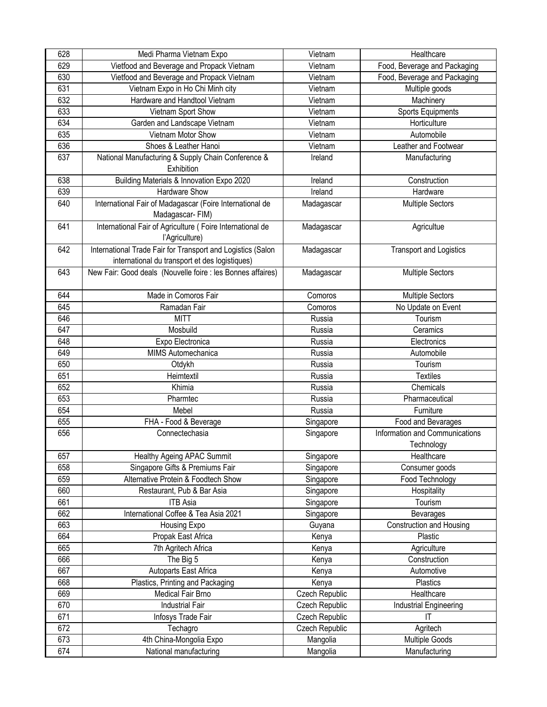| 628 | Medi Pharma Vietnam Expo                                                                                      | Vietnam        | Healthcare                                   |
|-----|---------------------------------------------------------------------------------------------------------------|----------------|----------------------------------------------|
| 629 | Vietfood and Beverage and Propack Vietnam                                                                     | Vietnam        | Food, Beverage and Packaging                 |
| 630 | Vietfood and Beverage and Propack Vietnam                                                                     | Vietnam        | Food, Beverage and Packaging                 |
| 631 | Vietnam Expo in Ho Chi Minh city                                                                              | Vietnam        | Multiple goods                               |
| 632 | Hardware and Handtool Vietnam                                                                                 | Vietnam        | Machinery                                    |
| 633 | Vietnam Sport Show                                                                                            | Vietnam        | Sports Equipments                            |
| 634 | Garden and Landscape Vietnam                                                                                  | Vietnam        | Horticulture                                 |
| 635 | Vietnam Motor Show                                                                                            | Vietnam        | Automobile                                   |
| 636 | Shoes & Leather Hanoi                                                                                         | Vietnam        | Leather and Footwear                         |
| 637 | National Manufacturing & Supply Chain Conference &<br>Exhibition                                              | Ireland        | Manufacturing                                |
| 638 | Building Materials & Innovation Expo 2020                                                                     | Ireland        | Construction                                 |
| 639 | Hardware Show                                                                                                 | Ireland        | Hardware                                     |
| 640 | International Fair of Madagascar (Foire International de<br>Madagascar- FIM)                                  | Madagascar     | <b>Multiple Sectors</b>                      |
| 641 | International Fair of Agriculture (Foire International de<br>l'Agriculture)                                   | Madagascar     | Agricultue                                   |
| 642 | International Trade Fair for Transport and Logistics (Salon<br>international du transport et des logistiques) | Madagascar     | <b>Transport and Logistics</b>               |
| 643 | New Fair: Good deals (Nouvelle foire : les Bonnes affaires)                                                   | Madagascar     | <b>Multiple Sectors</b>                      |
| 644 | Made in Comoros Fair                                                                                          | Comoros        | <b>Multiple Sectors</b>                      |
| 645 | Ramadan Fair                                                                                                  | Comoros        | No Update on Event                           |
| 646 | <b>MITT</b>                                                                                                   | Russia         | Tourism                                      |
| 647 | Mosbuild                                                                                                      | Russia         | Ceramics                                     |
| 648 | Expo Electronica                                                                                              | Russia         | Electronics                                  |
| 649 | MIMS Automechanica                                                                                            | Russia         | Automobile                                   |
| 650 | Otdykh                                                                                                        | Russia         | Tourism                                      |
| 651 | Heimtextil                                                                                                    | Russia         | <b>Textiles</b>                              |
| 652 | Khimia                                                                                                        | Russia         | Chemicals                                    |
| 653 | Pharmtec                                                                                                      | Russia         | Pharmaceutical                               |
| 654 | Mebel                                                                                                         | Russia         | Furniture                                    |
| 655 | FHA - Food & Beverage                                                                                         | Singapore      | Food and Bevarages                           |
| 656 | Connectechasia                                                                                                | Singapore      | Information and Communications<br>Technology |
| 657 | Healthy Ageing APAC Summit                                                                                    | Singapore      | Healthcare                                   |
| 658 | Singapore Gifts & Premiums Fair                                                                               | Singapore      | Consumer goods                               |
| 659 | Alternative Protein & Foodtech Show                                                                           | Singapore      | Food Technology                              |
| 660 | Restaurant, Pub & Bar Asia                                                                                    | Singapore      | Hospitality                                  |
| 661 | <b>ITB Asia</b>                                                                                               | Singapore      | Tourism                                      |
| 662 | International Coffee & Tea Asia 2021                                                                          | Singapore      | Bevarages                                    |
| 663 | Housing Expo                                                                                                  | Guyana         | <b>Construction and Housing</b>              |
| 664 | Propak East Africa                                                                                            | Kenya          | Plastic                                      |
| 665 | 7th Agritech Africa                                                                                           | Kenya          | Agriculture                                  |
| 666 | The Big 5                                                                                                     | Kenya          | Construction                                 |
| 667 | Autoparts East Africa                                                                                         | Kenya          | Automotive                                   |
| 668 | Plastics, Printing and Packaging                                                                              | Kenya          | Plastics                                     |
| 669 | Medical Fair Brno                                                                                             | Czech Republic | Healthcare                                   |
| 670 | <b>Industrial Fair</b>                                                                                        | Czech Republic | Industrial Engineering                       |
| 671 | Infosys Trade Fair                                                                                            | Czech Republic | IT                                           |
| 672 | Techagro                                                                                                      | Czech Republic | Agritech                                     |
| 673 | 4th China-Mongolia Expo                                                                                       | Mangolia       | <b>Multiple Goods</b>                        |
| 674 | National manufacturing                                                                                        | Mangolia       | Manufacturing                                |